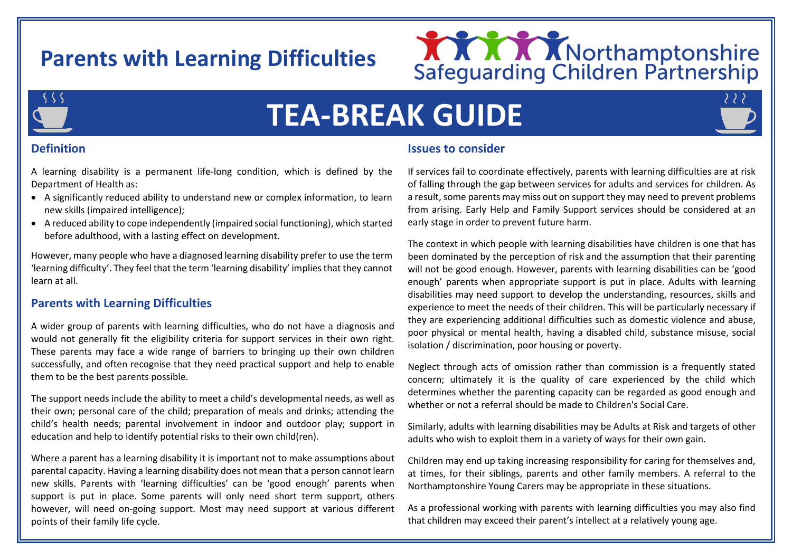# **Parents with Learning Difficulties**





# **TEA-BREAK GUIDE**

# **Definition**

A learning disability is a permanent life-long condition, which is defined by the Department of Health as:

- A significantly reduced ability to understand new or complex information, to learn new skills (impaired intelligence);
- A reduced ability to cope independently (impaired social functioning), which started before adulthood, with a lasting effect on development.

However, many people who have a diagnosed learning disability prefer to use the term 'learning difficulty'. They feel that the term 'learning disability' implies that they cannot learn at all.

### **Parents with Learning Difficulties**

A wider group of parents with learning difficulties, who do not have a diagnosis and would not generally fit the eligibility criteria for support services in their own right. These parents may face a wide range of barriers to bringing up their own children successfully, and often recognise that they need practical support and help to enable them to be the best parents possible.

The support needs include the ability to meet a child's developmental needs, as well as their own; personal care of the child; preparation of meals and drinks; attending the child's health needs; parental involvement in indoor and outdoor play; support in education and help to identify potential risks to their own child(ren).

Where a parent has a learning disability it is important not to make assumptions about parental capacity. Having a learning disability does not mean that a person cannot learn new skills. Parents with 'learning difficulties' can be 'good enough' parents when support is put in place. Some parents will only need short term support, others however, will need on-going support. Most may need support at various different points of their family life cycle.

#### **Issues to consider**

If services fail to coordinate effectively, parents with learning difficulties are at risk of falling through the gap between services for adults and services for children. As a result, some parents may miss out on support they may need to prevent problems from arising. Early Help and Family Support services should be considered at an early stage in order to prevent future harm.

The context in which people with learning disabilities have children is one that has been dominated by the perception of risk and the assumption that their parenting will not be good enough. However, parents with learning disabilities can be 'good enough' parents when appropriate support is put in place. Adults with learning disabilities may need support to develop the understanding, resources, skills and experience to meet the needs of their children. This will be particularly necessary if they are experiencing additional difficulties such as domestic violence and abuse, poor physical or mental health, having a disabled child, substance misuse, social isolation / discrimination, poor housing or poverty.

Neglect through acts of omission rather than commission is a frequently stated concern; ultimately it is the quality of care experienced by the child which determines whether the parenting capacity can be regarded as good enough and whether or not a referral should be made to Children's Social Care.

Similarly, adults with learning disabilities may be Adults at Risk and targets of other adults who wish to exploit them in a variety of ways for their own gain.

Children may end up taking increasing responsibility for caring for themselves and, at times, for their siblings, parents and other family members. A referral to the Northamptonshire Young Carers may be appropriate in these situations.

As a professional working with parents with learning difficulties you may also find that children may exceed their parent's intellect at a relatively young age.